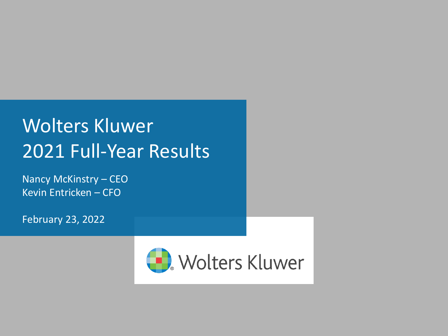#### Wolters Kluwer 2021 Full-Year Results

Nancy McKinstry – CEO Kevin Entricken – CFO

February 23, 2022

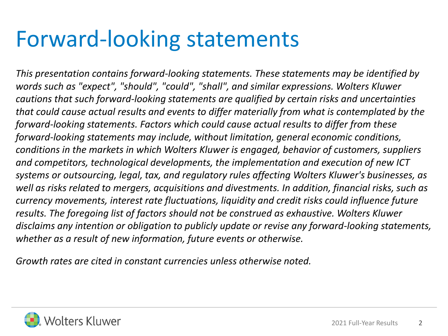#### Forward-looking statements

*This presentation contains forward-looking statements. These statements may be identified by words such as "expect", "should", "could", "shall", and similar expressions. Wolters Kluwer cautions that such forward-looking statements are qualified by certain risks and uncertainties that could cause actual results and events to differ materially from what is contemplated by the forward-looking statements. Factors which could cause actual results to differ from these forward-looking statements may include, without limitation, general economic conditions, conditions in the markets in which Wolters Kluwer is engaged, behavior of customers, suppliers and competitors, technological developments, the implementation and execution of new ICT systems or outsourcing, legal, tax, and regulatory rules affecting Wolters Kluwer's businesses, as well as risks related to mergers, acquisitions and divestments. In addition, financial risks, such as currency movements, interest rate fluctuations, liquidity and credit risks could influence future results. The foregoing list of factors should not be construed as exhaustive. Wolters Kluwer disclaims any intention or obligation to publicly update or revise any forward-looking statements, whether as a result of new information, future events or otherwise.*

*Growth rates are cited in constant currencies unless otherwise noted.*

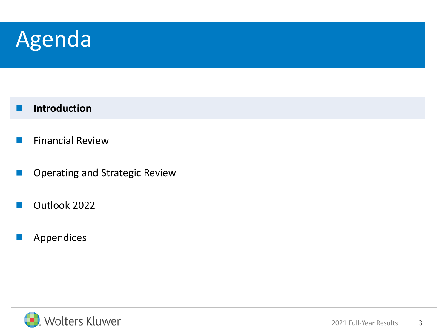#### Agenda

#### ◼ **Introduction**

- Financial Review
- ◼ Operating and Strategic Review
- Outlook 2022
- **Appendices**

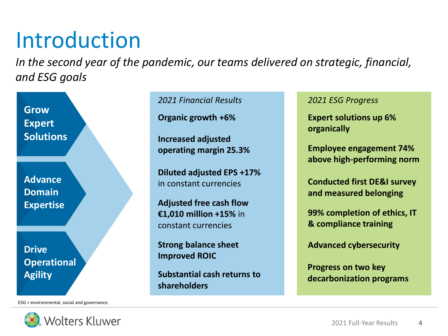### Introduction

*In the second year of the pandemic, our teams delivered on strategic, financial, and ESG goals*

**Grow Expert Solutions**

**Advance Domain Expertise**

**Drive Operational Agility**

ESG = environmental, social and governance.



*2021 Financial Results 2021 ESG Progress*

**Organic growth +6%**

**Increased adjusted operating margin 25.3%**

**Diluted adjusted EPS +17%** in constant currencies

**Adjusted free cash flow €1,010 million +15%** in constant currencies

**Strong balance sheet Improved ROIC**

**Substantial cash returns to shareholders** 

**Expert solutions up 6% organically**

**Employee engagement 74% above high-performing norm**

**Conducted first DE&I survey and measured belonging**

**99% completion of ethics, IT & compliance training**

**Advanced cybersecurity**

**Progress on two key decarbonization programs**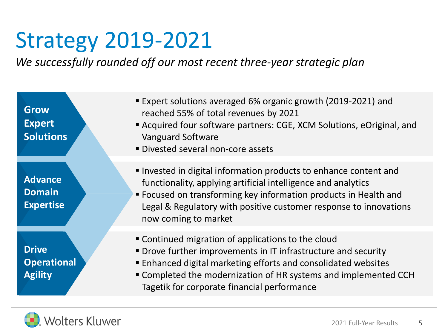### Strategy 2019-2021

*We successfully rounded off our most recent three-year strategic plan*

**Grow Expert Solutions**

**Advance Domain Expertise**

**Drive Operational Agility**

- Expert solutions averaged 6% organic growth (2019-2021) and reached 55% of total revenues by 2021
- Acquired four software partners: CGE, XCM Solutions, eOriginal, and Vanguard Software
- **· Divested several non-core assets**
- Invested in digital information products to enhance content and functionality, applying artificial intelligence and analytics
- Focused on transforming key information products in Health and Legal & Regulatory with positive customer response to innovations now coming to market
- **EX Continued migration of applications to the cloud**
- **Drove further improvements in IT infrastructure and security**
- Enhanced digital marketing efforts and consolidated websites
- Completed the modernization of HR systems and implemented CCH Tagetik for corporate financial performance

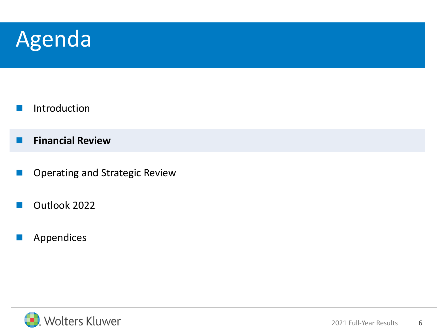#### Agenda

- **Introduction**
- **■** Financial Review
- ◼ Operating and Strategic Review
- Outlook 2022
- **Appendices**

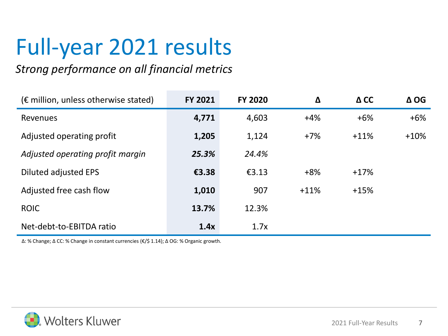### Full-year 2021 results

#### *Strong performance on all financial metrics*

| $(\epsilon$ million, unless otherwise stated) | <b>FY 2021</b> | <b>FY 2020</b> | Δ      | $\Delta$ CC | $\Delta$ OG |
|-----------------------------------------------|----------------|----------------|--------|-------------|-------------|
| <b>Revenues</b>                               | 4,771          | 4,603          | $+4%$  | $+6%$       | $+6%$       |
| Adjusted operating profit                     | 1,205          | 1,124          | $+7%$  | $+11%$      | $+10%$      |
| Adjusted operating profit margin              | 25.3%          | 24.4%          |        |             |             |
| Diluted adjusted EPS                          | €3.38          | £3.13          | $+8%$  | $+17%$      |             |
| Adjusted free cash flow                       | 1,010          | 907            | $+11%$ | $+15%$      |             |
| <b>ROIC</b>                                   | 13.7%          | 12.3%          |        |             |             |
| Net-debt-to-EBITDA ratio                      | 1.4x           | 1.7x           |        |             |             |

∆: % Change; ∆ CC: % Change in constant currencies (€/\$ 1.14); ∆ OG: % Organic growth.

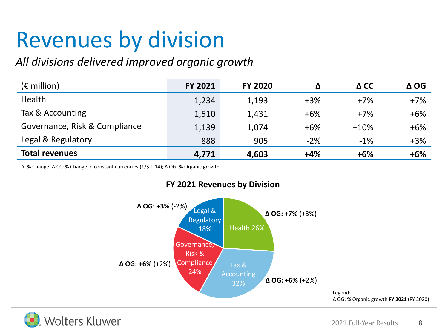### Revenues by division

#### *All divisions delivered improved organic growth*

| $(\epsilon$ million)          | <b>FY 2021</b> | <b>FY 2020</b> | Δ     | $\Delta$ CC | $\Delta$ OG |
|-------------------------------|----------------|----------------|-------|-------------|-------------|
| Health                        | 1,234          | 1,193          | $+3%$ | $+7%$       | $+7%$       |
| Tax & Accounting              | 1,510          | 1,431          | $+6%$ | $+7%$       | $+6%$       |
| Governance, Risk & Compliance | 1,139          | 1,074          | $+6%$ | $+10%$      | $+6%$       |
| Legal & Regulatory            | 888            | 905            | $-2%$ | $-1%$       | $+3%$       |
| <b>Total revenues</b>         | 4,771          | 4,603          | $+4%$ | $+6%$       | $+6%$       |

∆: % Change; ∆ CC: % Change in constant currencies (€/\$ 1.14); ∆ OG: % Organic growth.



#### **FY 2021 Revenues by Division**

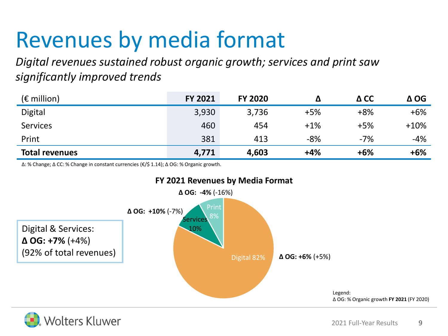### Revenues by media format

*Digital revenues sustained robust organic growth; services and print saw significantly improved trends*

| $(\epsilon$ million)  | <b>FY 2021</b> | <b>FY 2020</b> |       | $\Delta$ CC | $\Delta$ OG |
|-----------------------|----------------|----------------|-------|-------------|-------------|
| <b>Digital</b>        | 3,930          | 3,736          | $+5%$ | $+8%$       | $+6%$       |
| <b>Services</b>       | 460            | 454            | $+1%$ | $+5%$       | $+10%$      |
| Print                 | 381            | 413            | $-8%$ | $-7%$       | $-4%$       |
| <b>Total revenues</b> | 4,771          | 4,603          | $+4%$ | $+6%$       | $+6%$       |

∆: % Change; ∆ CC: % Change in constant currencies (€/\$ 1.14); ∆ OG: % Organic growth.



#### **FY 2021 Revenues by Media Format**

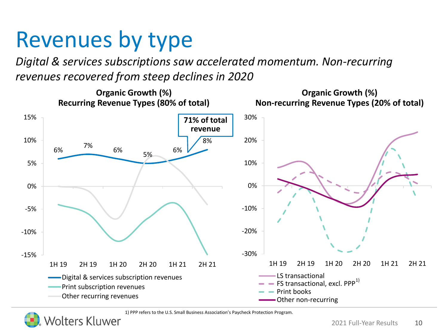### Revenues by type

*Digital & services subscriptions saw accelerated momentum. Non-recurring revenues recovered from steep declines in 2020*



1) PPP refers to the U.S. Small Business Association's Paycheck Protection Program.



'olters Kluwer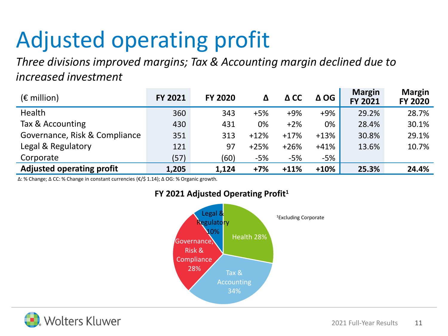### Adjusted operating profit

*Three divisions improved margins; Tax & Accounting margin declined due to increased investment*

| $(\epsilon$ million)             | <b>FY 2021</b> | <b>FY 2020</b> | Δ      | $\Delta$ CC | $\Delta$ OG | <b>Margin</b><br><b>FY 2021</b> | <b>Margin</b><br><b>FY 2020</b> |
|----------------------------------|----------------|----------------|--------|-------------|-------------|---------------------------------|---------------------------------|
| Health                           | 360            | 343            | $+5%$  | $+9%$       | $+9%$       | 29.2%                           | 28.7%                           |
| Tax & Accounting                 | 430            | 431            | 0%     | $+2%$       | 0%          | 28.4%                           | 30.1%                           |
| Governance, Risk & Compliance    | 351            | 313            | $+12%$ | $+17%$      | $+13%$      | 30.8%                           | 29.1%                           |
| Legal & Regulatory               | 121            | 97             | $+25%$ | $+26%$      | $+41%$      | 13.6%                           | 10.7%                           |
| Corporate                        | (57)           | (60)           | $-5%$  | $-5%$       | -5%         |                                 |                                 |
| <b>Adjusted operating profit</b> | 1,205          | 1,124          | $+7%$  | $+11%$      | $+10%$      | 25.3%                           | 24.4%                           |

∆: % Change; ∆ CC: % Change in constant currencies (€/\$ 1.14); ∆ OG: % Organic growth.



#### **FY 2021 Adjusted Operating Profit<sup>1</sup>**

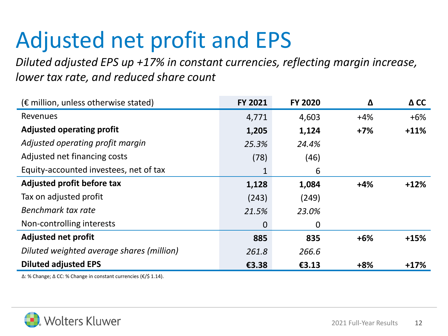### Adjusted net profit and EPS

*Diluted adjusted EPS up +17% in constant currencies, reflecting margin increase, lower tax rate, and reduced share count*

| $(\epsilon$ million, unless otherwise stated) | <b>FY 2021</b> | <b>FY 2020</b> | Δ     | $\Delta$ CC |
|-----------------------------------------------|----------------|----------------|-------|-------------|
| Revenues                                      | 4,771          | 4,603          | $+4%$ | $+6%$       |
| <b>Adjusted operating profit</b>              | 1,205          | 1,124          | $+7%$ | $+11%$      |
| Adjusted operating profit margin              | 25.3%          | 24.4%          |       |             |
| Adjusted net financing costs                  | (78)           | (46)           |       |             |
| Equity-accounted investees, net of tax        | 1              | 6              |       |             |
| Adjusted profit before tax                    | 1,128          | 1,084          | $+4%$ | $+12%$      |
| Tax on adjusted profit                        | (243)          | (249)          |       |             |
| Benchmark tax rate                            | 21.5%          | 23.0%          |       |             |
| Non-controlling interests                     | $\overline{0}$ | $\mathbf 0$    |       |             |
| <b>Adjusted net profit</b>                    | 885            | 835            | $+6%$ | $+15%$      |
| Diluted weighted average shares (million)     | 261.8          | 266.6          |       |             |
| <b>Diluted adjusted EPS</b>                   | €3.38          | £3.13          | $+8%$ | $+17%$      |

∆: % Change; ∆ CC: % Change in constant currencies (€/\$ 1.14).

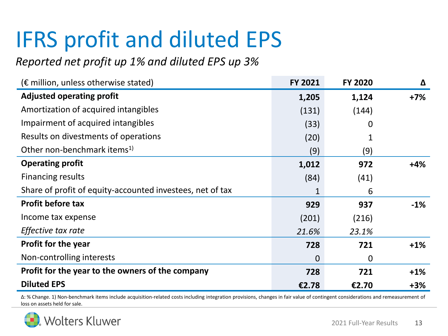### IFRS profit and diluted EPS

#### *Reported net profit up 1% and diluted EPS up 3%*

| $(\epsilon$ million, unless otherwise stated)             | <b>FY 2021</b> | <b>FY 2020</b> | Δ      |
|-----------------------------------------------------------|----------------|----------------|--------|
| <b>Adjusted operating profit</b>                          | 1,205          | 1,124          | $+7%$  |
| Amortization of acquired intangibles                      | (131)          | (144)          |        |
| Impairment of acquired intangibles                        | (33)           | 0              |        |
| Results on divestments of operations                      | (20)           |                |        |
| Other non-benchmark items <sup>1)</sup>                   | (9)            | (9)            |        |
| <b>Operating profit</b>                                   | 1,012          | 972            | $+4%$  |
| <b>Financing results</b>                                  | (84)           | (41)           |        |
| Share of profit of equity-accounted investees, net of tax | 1              | 6              |        |
| <b>Profit before tax</b>                                  | 929            | 937            | $-1%$  |
| Income tax expense                                        | (201)          | (216)          |        |
| Effective tax rate                                        | 21.6%          | 23.1%          |        |
| <b>Profit for the year</b>                                | 728            | 721            | $+1\%$ |
| Non-controlling interests                                 | $\mathbf 0$    | 0              |        |
| Profit for the year to the owners of the company          | 728            | 721            | $+1%$  |
| <b>Diluted EPS</b>                                        | €2.78          | €2.70          | $+3%$  |

∆: % Change. 1) Non-benchmark items include acquisition-related costs including integration provisions, changes in fair value of contingent considerations and remeasurement of loss on assets held for sale.

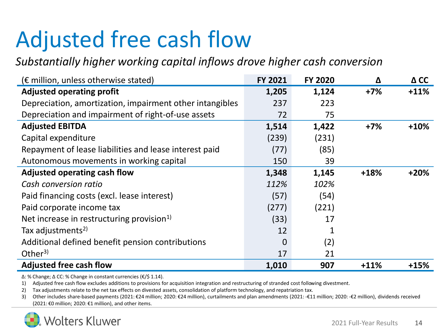### Adjusted free cash flow

#### *Substantially higher working capital inflows drove higher cash conversion*

| $(\epsilon$ million, unless otherwise stated)            | FY 2021        | <b>FY 2020</b> | Δ      | $\Delta$ CC |
|----------------------------------------------------------|----------------|----------------|--------|-------------|
| <b>Adjusted operating profit</b>                         | 1,205          | 1,124          | $+7%$  | $+11%$      |
| Depreciation, amortization, impairment other intangibles | 237            | 223            |        |             |
| Depreciation and impairment of right-of-use assets       | 72             | 75             |        |             |
| <b>Adjusted EBITDA</b>                                   | 1,514          | 1,422          | $+7%$  | $+10%$      |
| Capital expenditure                                      | (239)          | (231)          |        |             |
| Repayment of lease liabilities and lease interest paid   | (77)           | (85)           |        |             |
| Autonomous movements in working capital                  | 150            | 39             |        |             |
| Adjusted operating cash flow                             | 1,348          | 1,145          | $+18%$ | $+20%$      |
| Cash conversion ratio                                    | 112%           | 102%           |        |             |
| Paid financing costs (excl. lease interest)              | (57)           | (54)           |        |             |
| Paid corporate income tax                                | (277)          | (221)          |        |             |
| Net increase in restructuring provision <sup>1)</sup>    | (33)           | 17             |        |             |
| Tax adjustments <sup>2)</sup>                            | 12             | 1              |        |             |
| Additional defined benefit pension contributions         | $\overline{0}$ | (2)            |        |             |
| Other <sup>3)</sup>                                      | 17             | 21             |        |             |
| <b>Adjusted free cash flow</b>                           | 1,010          | 907            | $+11%$ | $+15%$      |

∆: % Change; ∆ CC: % Change in constant currencies (€/\$ 1.14).

1) Adjusted free cash flow excludes additions to provisions for acquisition integration and restructuring of stranded cost following divestment.

2) Tax adjustments relate to the net tax effects on divested assets, consolidation of platform technology, and repatriation tax.

3) Other includes share-based payments (2021: €24 million; 2020: €24 million), curtailments and plan amendments (2021: -€11 million; 2020: -€2 million), dividends received (2021: €0 million; 2020: €1 million), and other items.

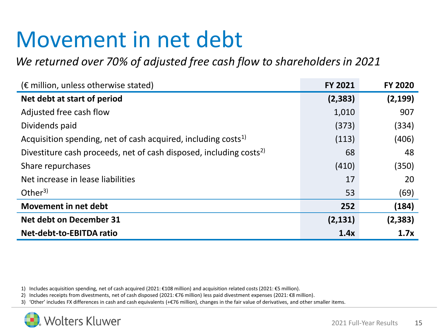### Movement in net debt

*We returned over 70% of adjusted free cash flow to shareholders in 2021*

| $(\epsilon$ million, unless otherwise stated)                                  | <b>FY 2021</b> | <b>FY 2020</b> |
|--------------------------------------------------------------------------------|----------------|----------------|
| Net debt at start of period                                                    | (2, 383)       | (2, 199)       |
| Adjusted free cash flow                                                        | 1,010          | 907            |
| Dividends paid                                                                 | (373)          | (334)          |
| Acquisition spending, net of cash acquired, including costs <sup>1)</sup>      | (113)          | (406)          |
| Divestiture cash proceeds, net of cash disposed, including costs <sup>2)</sup> | 68             | 48             |
| Share repurchases                                                              | (410)          | (350)          |
| Net increase in lease liabilities                                              | 17             | 20             |
| Other <sup>3)</sup>                                                            | 53             | (69)           |
| Movement in net debt                                                           | 252            | (184)          |
| <b>Net debt on December 31</b>                                                 | (2, 131)       | (2, 383)       |
| Net-debt-to-EBITDA ratio                                                       | 1.4x           | 1.7x           |

1) Includes acquisition spending, net of cash acquired (2021: €108 million) and acquisition related costs (2021: €5 million).

2) Includes receipts from divestments, net of cash disposed (2021: €76 million) less paid divestment expenses (2021: €8 million).

3) 'Other' includes FX differences in cash and cash equivalents (+€76 million), changes in the fair value of derivatives, and other smaller items.

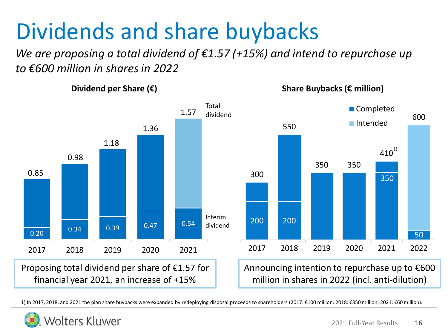### Dividends and share buybacks

*We are proposing a total dividend of €1.57 (+15%) and intend to repurchase up to €600 million in shares in 2022*

300 550 350 350  $\mathbf{410}^{^{1)}$ 600 200 200 350 50 2017 2018 2019 2020 2021 2022 ■ Completed ■Intended **Dividend per Share (€)**  Interim dividend Proposing total dividend per share of  $£1.57$  for financial year 2021, an increase of +15% Total dividend **Share Buybacks (€ million)** Announcing intention to repurchase up to  $\epsilon$ 600 million in shares in 2022 (incl. anti-dilution)  $\begin{array}{|c|c|c|c|c|}\n\hline\n0.20 & 0.34 & 0.39 & 0.47 & 0.54\n\end{array}$ 0.85 0.98 1.18 1.36 1.57 2017 2018 2019 2020 2021

1) In 2017, 2018, and 2021 the plan share buybacks were expanded by redeploying disposal proceeds to shareholders (2017: €100 million, 2018: €350 million, 2021: €60 million).

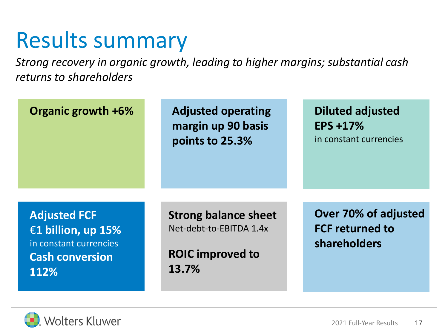#### Results summary

*Strong recovery in organic growth, leading to higher margins; substantial cash returns to shareholders*

| Organic growth +6%                                                                                    | <b>Adjusted operating</b><br>margin up 90 basis<br>points to 25.3%                         | <b>Diluted adjusted</b><br><b>EPS +17%</b><br>in constant currencies |
|-------------------------------------------------------------------------------------------------------|--------------------------------------------------------------------------------------------|----------------------------------------------------------------------|
| <b>Adjusted FCF</b><br>€1 billion, up 15%<br>in constant currencies<br><b>Cash conversion</b><br>112% | <b>Strong balance sheet</b><br>Net-debt-to-EBITDA 1.4x<br><b>ROIC improved to</b><br>13.7% | Over 70% of adjusted<br><b>FCF returned to</b><br>shareholders       |

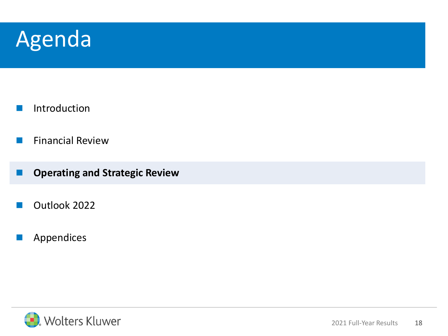#### Agenda

- **Introduction**
- **E** Financial Review
- ◼ **Operating and Strategic Review**
- Outlook 2022
- **Appendices**

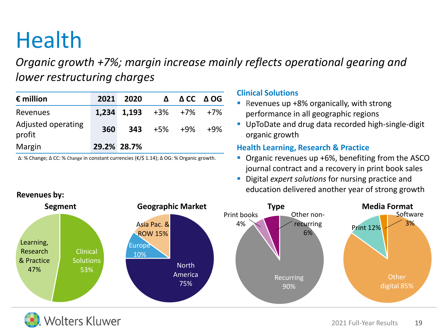### **Health**

*Organic growth +7%; margin increase mainly reflects operational gearing and lower restructuring charges*

| $\epsilon$ million           | 2021 | 2020                                 | $\Delta$           | ACC AOG |     |
|------------------------------|------|--------------------------------------|--------------------|---------|-----|
| Revenues                     |      | $1,234$ $1,193$ $+3\%$ $+7\%$ $+7\%$ |                    |         |     |
| Adjusted operating<br>profit | 360  |                                      | <b>343</b> +5% +9% |         | +9% |
| Margin                       |      | 29.2% 28.7%                          |                    |         |     |

∆: % Change; ∆ CC: % Change in constant currencies (€/\$ 1.14); ∆ OG: % Organic growth.

#### **Clinical Solutions**

- Revenues up +8% organically, with strong performance in all geographic regions
- **UpToDate and drug data recorded high-single-digit** organic growth

#### **Health Learning, Research & Practice**

- Organic revenues up +6%, benefiting from the ASCO journal contract and a recovery in print book sales
- Digital *expert solutions* for nursing practice and education delivered another year of strong growth



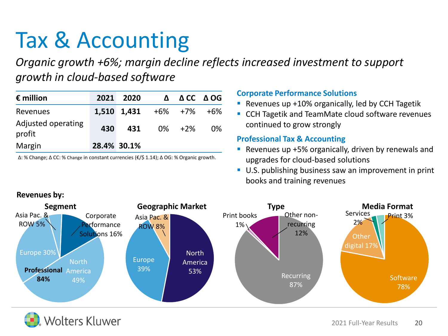### Tax & Accounting

*Organic growth +6%; margin decline reflects increased investment to support growth in cloud-based software*

| $\epsilon$ million           | 2021 | 2020        | Δ       |        | $\triangle CC$ $\triangle OG$ |
|------------------------------|------|-------------|---------|--------|-------------------------------|
| Revenues                     |      | 1,510 1,431 | +6% +7% |        | +6%                           |
| Adjusted operating<br>profit | 430  | 431         |         | 0% +2% | 0%                            |
| Margin                       |      | 28.4% 30.1% |         |        |                               |

∆: % Change; ∆ CC: % Change in constant currencies (€/\$ 1.14); ∆ OG: % Organic growth.

#### **Corporate Performance Solutions**

- Revenues up +10% organically, led by CCH Tagetik
- CCH Tagetik and TeamMate cloud software revenues continued to grow strongly

#### **Professional Tax & Accounting**

- Revenues up +5% organically, driven by renewals and upgrades for cloud-based solutions
- **U.S. publishing business saw an improvement in print** books and training revenues



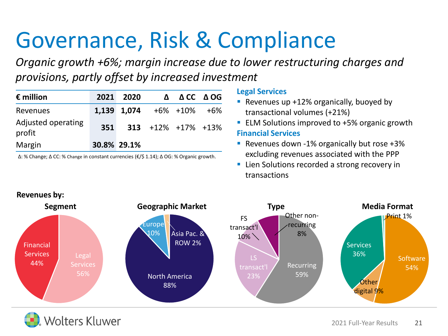### Governance, Risk & Compliance

*Organic growth +6%; margin increase due to lower restructuring charges and provisions, partly offset by increased investment*

| $\epsilon$ million           |     | 2021 2020   |                            | $\triangle$ $\triangle$ CC $\triangle$ OG |  |
|------------------------------|-----|-------------|----------------------------|-------------------------------------------|--|
| <b>Revenues</b>              |     | 1,139 1,074 |                            | +6% +10% +6%                              |  |
| Adjusted operating<br>profit | 351 |             | $313 + 12\% + 17\% + 13\%$ |                                           |  |
| Margin                       |     | 30.8% 29.1% |                            |                                           |  |

∆: % Change; ∆ CC: % Change in constant currencies (€/\$ 1.14); ∆ OG: % Organic growth.

#### **Legal Services**

- **E** Revenues up  $+12%$  organically, buoyed by transactional volumes (+21%)
- ELM Solutions improved to +5% organic growth **Financial Services**
- Revenues down -1% organically but rose +3% excluding revenues associated with the PPP
- **EXTEND 1** Lien Solutions recorded a strong recovery in transactions



**Volters Kluwer**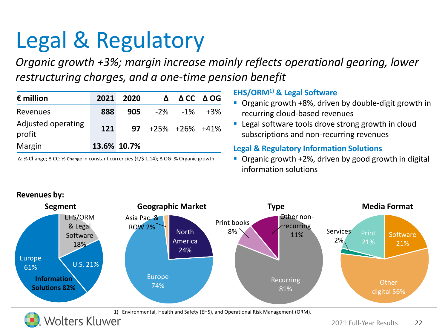### Legal & Regulatory

*Organic growth +3%; margin increase mainly reflects operational gearing, lower restructuring charges, and a one-time pension benefit*

| $\epsilon$ million           | 2021 | 2020        | $\mathbf{\Lambda}$        | ACC AOG |
|------------------------------|------|-------------|---------------------------|---------|
| Revenues                     | 888  |             | 905 $-2\%$ $-1\%$ $+3\%$  |         |
| Adjusted operating<br>profit | 121  |             | $97 + 25\% + 26\% + 41\%$ |         |
| Margin                       |      | 13.6% 10.7% |                           |         |

∆: % Change; ∆ CC: % Change in constant currencies (€/\$ 1.14); ∆ OG: % Organic growth.

#### **EHS/ORM1) & Legal Software**

- Organic growth +8%, driven by double-digit growth in recurring cloud-based revenues
- Legal software tools drove strong growth in cloud subscriptions and non-recurring revenues

#### **Legal & Regulatory Information Solutions**

■ Organic growth +2%, driven by good growth in digital information solutions



1) Environmental, Health and Safety (EHS), and Operational Risk Management (ORM).<br>VOITETS KIUWET

#### **Revenues by:**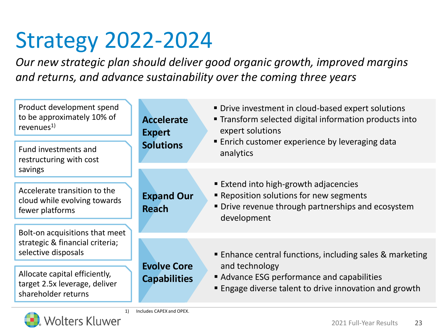### Strategy 2022-2024

*Our new strategic plan should deliver good organic growth, improved margins and returns, and advance sustainability over the coming three years*

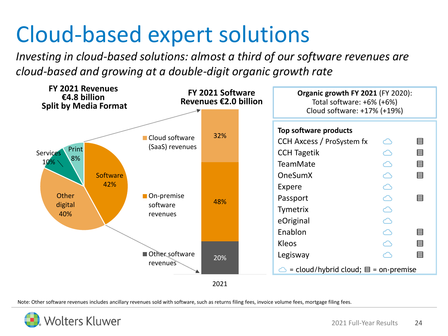### Cloud-based expert solutions

*Investing in cloud-based solutions: almost a third of our software revenues are cloud-based and growing at a double-digit organic growth rate*



Note: Other software revenues includes ancillary revenues sold with software, such as returns filing fees, invoice volume fees, mortgage filing fees.

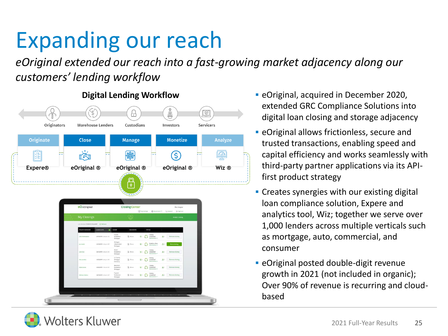### Expanding our reach

*eOriginal extended our reach into a fast-growing market adjacency along our customers' lending workflow*



- **Digital Lending Workflow <br>
eOriginal, acquired in December 2020,** extended GRC Compliance Solutions into digital loan closing and storage adjacency
	- **EXECTE:** eOriginal allows frictionless, secure and trusted transactions, enabling speed and capital efficiency and works seamlessly with third-party partner applications via its APIfirst product strategy
	- **Creates synergies with our existing digital** loan compliance solution, Expere and analytics tool, Wiz; together we serve over 1,000 lenders across multiple verticals such as mortgage, auto, commercial, and consumer
	- **EXEC** eOriginal posted double-digit revenue growth in 2021 (not included in organic); Over 90% of revenue is recurring and cloudbased

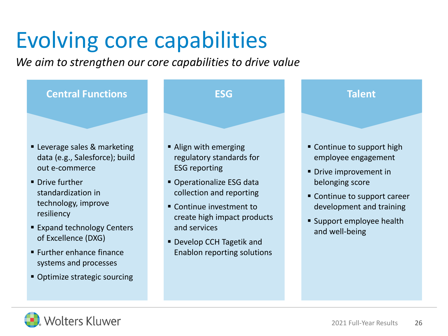### Evolving core capabilities

*We aim to strengthen our core capabilities to drive value*



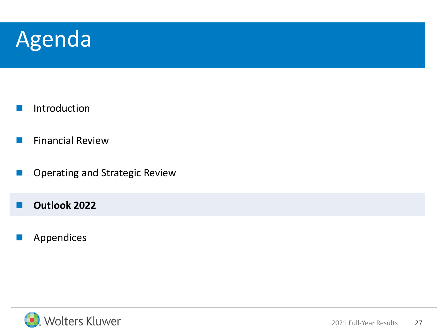#### Agenda

- **Introduction**
- **Financial Review**
- Operating and Strategic Review
- Outlook 2022
- **Appendices**

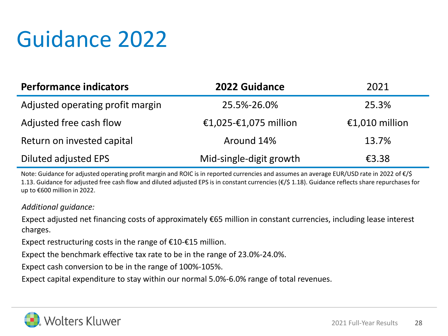### Guidance 2022

| <b>Performance indicators</b>    | 2022 Guidance           | 2021           |
|----------------------------------|-------------------------|----------------|
| Adjusted operating profit margin | 25.5%-26.0%             | 25.3%          |
| Adjusted free cash flow          | €1,025-€1,075 million   | €1,010 million |
| Return on invested capital       | Around 14%              | 13.7%          |
| Diluted adjusted EPS             | Mid-single-digit growth | €3.38          |

Note: Guidance for adjusted operating profit margin and ROIC is in reported currencies and assumes an average EUR/USD rate in 2022 of €/\$ 1.13. Guidance for adjusted free cash flow and diluted adjusted EPS is in constant currencies (€/\$ 1.18). Guidance reflects share repurchases for up to €600 million in 2022.

#### *Additional guidance:*

Expect adjusted net financing costs of approximately €65 million in constant currencies, including lease interest charges.

Expect restructuring costs in the range of  $£10-£15$  million.

Expect the benchmark effective tax rate to be in the range of 23.0%-24.0%.

Expect cash conversion to be in the range of 100%-105%.

Expect capital expenditure to stay within our normal 5.0%-6.0% range of total revenues.

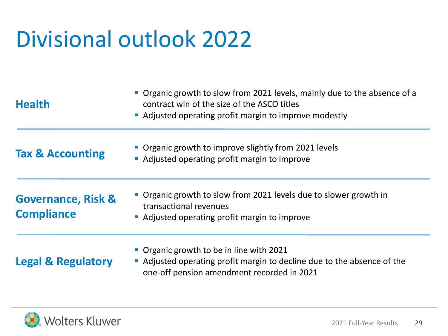### Divisional outlook 2022

| <b>Health</b>                                      | • Organic growth to slow from 2021 levels, mainly due to the absence of a<br>contract win of the size of the ASCO titles<br>Adjusted operating profit margin to improve modestly |
|----------------------------------------------------|----------------------------------------------------------------------------------------------------------------------------------------------------------------------------------|
| <b>Tax &amp; Accounting</b>                        | • Organic growth to improve slightly from 2021 levels<br>• Adjusted operating profit margin to improve                                                                           |
| <b>Governance, Risk &amp;</b><br><b>Compliance</b> | • Organic growth to slow from 2021 levels due to slower growth in<br>transactional revenues<br>• Adjusted operating profit margin to improve                                     |
| <b>Legal &amp; Regulatory</b>                      | • Organic growth to be in line with 2021<br>Adjusted operating profit margin to decline due to the absence of the<br>one-off pension amendment recorded in 2021                  |

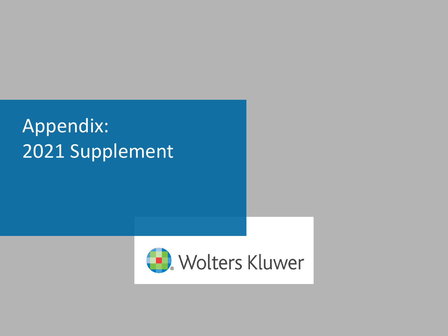#### Appendix: 2021 Supplement

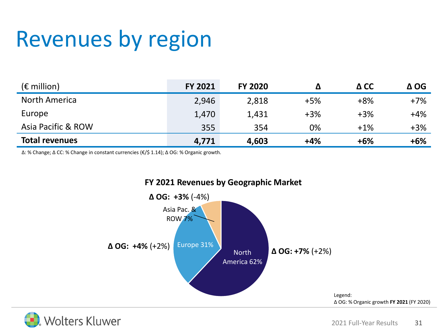### Revenues by region

| $(\epsilon$ million)  | <b>FY 2021</b> | <b>FY 2020</b> |       | $\Delta$ CC | $\Delta$ OG |
|-----------------------|----------------|----------------|-------|-------------|-------------|
| North America         | 2,946          | 2,818          | $+5%$ | $+8%$       | $+7%$       |
| Europe                | 1,470          | 1,431          | $+3%$ | $+3%$       | $+4%$       |
| Asia Pacific & ROW    | 355            | 354            | 0%    | $+1%$       | $+3%$       |
| <b>Total revenues</b> | 4,771          | 4,603          | $+4%$ | $+6%$       | $+6%$       |

∆: % Change; ∆ CC: % Change in constant currencies (€/\$ 1.14); ∆ OG: % Organic growth.



**FY 2021 Revenues by Geographic Market**

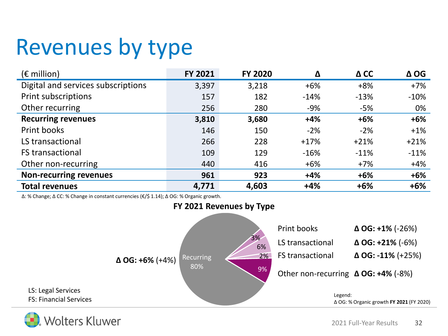### Revenues by type

| $(E \text{ million})$              | FY 2021 | <b>FY 2020</b> | Δ      | $\Delta$ CC | $\Delta$ OG |
|------------------------------------|---------|----------------|--------|-------------|-------------|
| Digital and services subscriptions | 3,397   | 3,218          | $+6%$  | $+8%$       | $+7%$       |
| <b>Print subscriptions</b>         | 157     | 182            | $-14%$ | $-13%$      | $-10%$      |
| Other recurring                    | 256     | 280            | $-9%$  | $-5%$       | 0%          |
| <b>Recurring revenues</b>          | 3,810   | 3,680          | $+4%$  | $+6%$       | $+6%$       |
| Print books                        | 146     | 150            | $-2%$  | $-2%$       | $+1%$       |
| LS transactional                   | 266     | 228            | $+17%$ | $+21%$      | $+21%$      |
| <b>FS transactional</b>            | 109     | 129            | $-16%$ | $-11%$      | $-11%$      |
| Other non-recurring                | 440     | 416            | $+6%$  | $+7%$       | $+4%$       |
| <b>Non-recurring revenues</b>      | 961     | 923            | $+4%$  | $+6%$       | $+6%$       |
| <b>Total revenues</b>              | 4,771   | 4,603          | $+4%$  | $+6%$       | $+6%$       |

∆: % Change; ∆ CC: % Change in constant currencies (€/\$ 1.14); ∆ OG: % Organic growth.



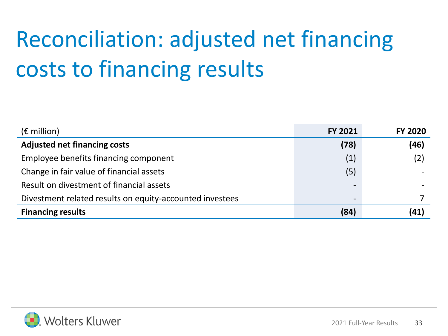# Reconciliation: adjusted net financing costs to financing results

| $(\epsilon$ million)                                     | <b>FY 2021</b>           | <b>FY 2020</b> |
|----------------------------------------------------------|--------------------------|----------------|
| <b>Adjusted net financing costs</b>                      | (78)                     | (46)           |
| Employee benefits financing component                    | (1)                      | (2)            |
| Change in fair value of financial assets                 | (5)                      |                |
| Result on divestment of financial assets                 | $\overline{\phantom{0}}$ |                |
| Divestment related results on equity-accounted investees | $\hbox{ }$               |                |
| <b>Financing results</b>                                 | (84)                     | (41)           |

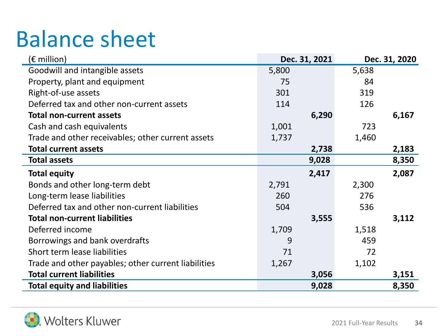### Balance sheet

| (€ million)                                         |       | Dec. 31, 2021 | Dec. 31, 2020 |       |  |
|-----------------------------------------------------|-------|---------------|---------------|-------|--|
| Goodwill and intangible assets                      | 5,800 |               | 5,638         |       |  |
| Property, plant and equipment                       | 75    |               | 84            |       |  |
| Right-of-use assets                                 | 301   |               | 319           |       |  |
| Deferred tax and other non-current assets           | 114   |               | 126           |       |  |
| <b>Total non-current assets</b>                     |       | 6,290         |               | 6,167 |  |
| Cash and cash equivalents                           | 1,001 |               | 723           |       |  |
| Trade and other receivables; other current assets   | 1,737 |               | 1,460         |       |  |
| <b>Total current assets</b>                         |       | 2,738         |               | 2,183 |  |
| <b>Total assets</b>                                 |       | 9,028         |               | 8,350 |  |
| <b>Total equity</b>                                 |       | 2,417         |               | 2,087 |  |
| Bonds and other long-term debt                      | 2,791 |               | 2,300         |       |  |
| Long-term lease liabilities                         | 260   |               | 276           |       |  |
| Deferred tax and other non-current liabilities      | 504   |               | 536           |       |  |
| <b>Total non-current liabilities</b>                |       | 3,555         |               | 3,112 |  |
| Deferred income                                     | 1,709 |               | 1,518         |       |  |
| Borrowings and bank overdrafts                      | 9     |               | 459           |       |  |
| Short term lease liabilities                        | 71    |               | 72            |       |  |
| Trade and other payables; other current liabilities | 1,267 |               | 1,102         |       |  |
| <b>Total current liabilities</b>                    |       | 3,056         |               | 3,151 |  |
| <b>Total equity and liabilities</b>                 |       | 9,028         |               | 8,350 |  |

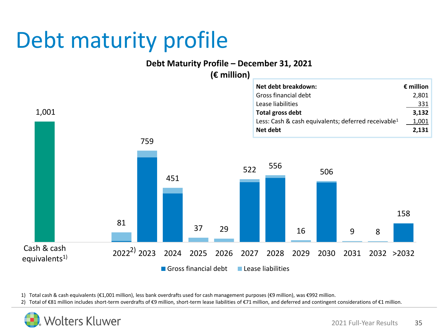### Debt maturity profile

#### **Debt Maturity Profile – December 31, 2021**

1,001 81 759 451 37 29 <sup>522</sup> <sup>556</sup> 16 506 9 8 158 2022<sup>2)</sup> 2023 2024 2025 2026 2027 2028 2029 2030 2031 2032 >2032 Gross financial debt Lease liabilities **(€ million) Net debt breakdown: € million** Gross financial debt 2,801 Lease liabilities 331 **Total gross debt 3,132** Less: Cash & cash equivalents; deferred receivable<sup>1</sup> 1,001 **Net debt 2,131** Cash & cash equivalents $1$ )

1) Total cash & cash equivalents (€1,001 million), less bank overdrafts used for cash management purposes (€9 million), was €992 million.

2) Total of €81 million includes short-term overdrafts of €9 million, short-term lease liabilities of €71 million, and deferred and contingent considerations of €1 million.

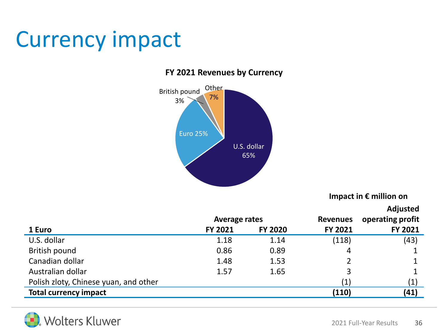### Currency impact

#### **FY 2021 Revenues by Currency**



**Impact in € million on**

**Adjusted** 

|                                       | <b>Average rates</b> |                | <b>Revenues</b>   | Aujusteu<br>operating profit |
|---------------------------------------|----------------------|----------------|-------------------|------------------------------|
| 1 Euro                                | FY 2021              | <b>FY 2020</b> | FY 2021           | FY 2021                      |
| U.S. dollar                           | 1.18                 | 1.14           | (118)             | (43)                         |
| British pound                         | 0.86                 | 0.89           | 4                 |                              |
| Canadian dollar                       | 1.48                 | 1.53           |                   |                              |
| Australian dollar                     | 1.57                 | 1.65           | 3                 |                              |
| Polish zloty, Chinese yuan, and other |                      |                | $\left( 1\right)$ | $\left( 1\right)$            |
| <b>Total currency impact</b>          |                      |                | (110)             | (41)                         |

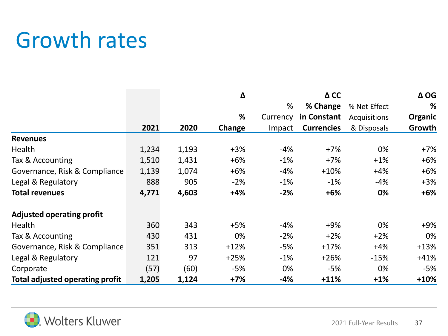### Growth rates

|                                        |       |       | Δ      |          | $\Delta$ CC       |              | $\Delta$ OG |              |   |
|----------------------------------------|-------|-------|--------|----------|-------------------|--------------|-------------|--------------|---|
|                                        |       |       |        |          |                   | %            | % Change    | % Net Effect | % |
|                                        |       |       | %      | Currency | in Constant       | Acquisitions | Organic     |              |   |
|                                        | 2021  | 2020  | Change | Impact   | <b>Currencies</b> | & Disposals  | Growth      |              |   |
| <b>Revenues</b>                        |       |       |        |          |                   |              |             |              |   |
| Health                                 | 1,234 | 1,193 | $+3%$  | $-4%$    | $+7%$             | 0%           | $+7%$       |              |   |
| Tax & Accounting                       | 1,510 | 1,431 | $+6%$  | $-1%$    | $+7%$             | $+1%$        | $+6%$       |              |   |
| Governance, Risk & Compliance          | 1,139 | 1,074 | $+6%$  | $-4%$    | $+10%$            | $+4%$        | $+6%$       |              |   |
| Legal & Regulatory                     | 888   | 905   | $-2%$  | $-1%$    | $-1\%$            | $-4%$        | $+3%$       |              |   |
| <b>Total revenues</b>                  | 4,771 | 4,603 | $+4%$  | $-2%$    | $+6%$             | 0%           | $+6%$       |              |   |
| <b>Adjusted operating profit</b>       |       |       |        |          |                   |              |             |              |   |
| Health                                 | 360   | 343   | $+5%$  | $-4%$    | $+9%$             | 0%           | $+9%$       |              |   |
| Tax & Accounting                       | 430   | 431   | 0%     | $-2%$    | $+2%$             | $+2%$        | 0%          |              |   |
| Governance, Risk & Compliance          | 351   | 313   | $+12%$ | $-5%$    | $+17%$            | $+4%$        | $+13%$      |              |   |
| Legal & Regulatory                     | 121   | 97    | $+25%$ | $-1%$    | $+26%$            | $-15%$       | $+41%$      |              |   |
| Corporate                              | (57)  | (60)  | $-5%$  | 0%       | $-5%$             | 0%           | $-5%$       |              |   |
| <b>Total adjusted operating profit</b> | 1,205 | 1,124 | $+7%$  | $-4%$    | $+11%$            | $+1%$        | $+10%$      |              |   |

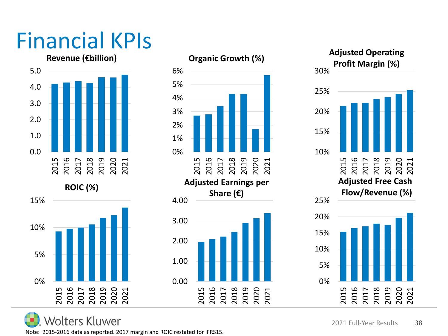# Financial KPIs

**Revenue (€billion)**







**Volters Kluwer** 

Note: 2015-2016 data as reported. 2017 margin and ROIC restated for IFRS15.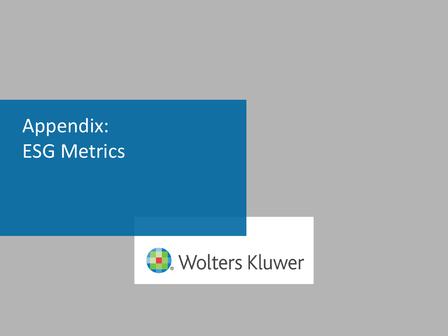#### Appendix: ESG Metrics

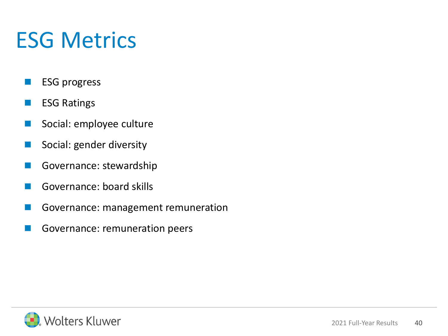### ESG Metrics

- **ESG progress**
- **ESG Ratings**
- Social: employee culture
- Social: gender diversity
- Governance: stewardship
- Governance: board skills
- Governance: management remuneration
- Governance: remuneration peers

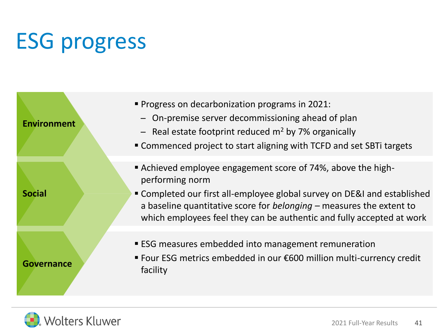# ESG progress

| <b>Environment</b> | " Progress on decarbonization programs in 2021:<br>- On-premise server decommissioning ahead of plan<br>- Real estate footprint reduced $m2$ by 7% organically<br>" Commenced project to start aligning with TCFD and set SBTi targets                                                                       |
|--------------------|--------------------------------------------------------------------------------------------------------------------------------------------------------------------------------------------------------------------------------------------------------------------------------------------------------------|
| <b>Social</b>      | Achieved employee engagement score of 74%, above the high-<br>performing norm<br>• Completed our first all-employee global survey on DE&I and established<br>a baseline quantitative score for belonging $-$ measures the extent to<br>which employees feel they can be authentic and fully accepted at work |
| Governance         | <b>ESG measures embedded into management remuneration</b><br>■ Four ESG metrics embedded in our €600 million multi-currency credit<br>facility                                                                                                                                                               |

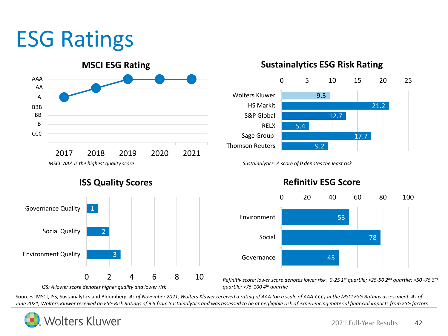### ESG Ratings



**ISS Quality Scores**



#### **Sustainalytics ESG Risk Rating**



#### 53 78 45 0 20 40 60 80 100 Environment Social Governance

*Refinitiv score: lower score denotes lower risk. 0-25 1st quartile; >25-50 2nd quartile; >50 -75 3rd quartile; >75-100 4th quartile*

Sources: MSCI, ISS, Sustainalytics and Bloomberg. *As of November 2021, Wolters Kluwer received a rating of AAA (on a scale of AAA-CCC) in the MSCI ESG Ratings assessment*. *As of June 2021, Wolters Kluwer received an ESG Risk Ratings of 9.5 from Sustainalytics and was assessed to be at negligible risk of experiencing material financial impacts from ESG factors.*



#### **Refinitiv ESG Score**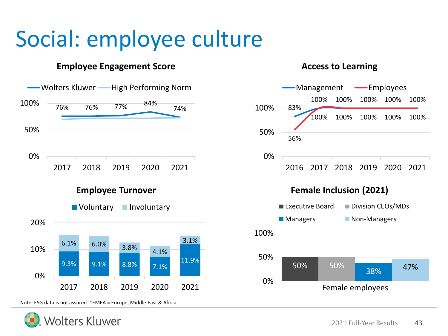### Social: employee culture

#### **Employee Engagement Score** Access to Learning



Note: ESG data is not assured. \*EMEA = Europe, Middle East & Africa.



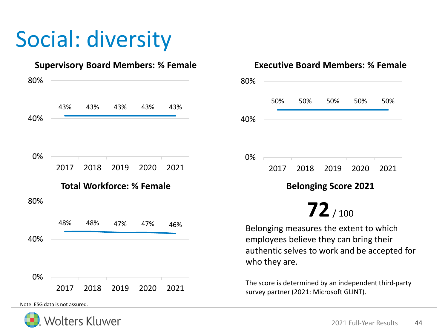# Social: diversity



Note: ESG data is not assured.



#### **Supervisory Board Members: % Female Executive Board Members: % Female** 50% 50% 50% 50% 50% 0% 40% 80% 2017 2018 2019 2020 2021 **Belonging Score 2021 72**/ 100 Belonging measures the extent to which employees believe they can bring their authentic selves to work and be accepted for who they are. The score is determined by an independent third-party survey partner (2021: Microsoft GLINT).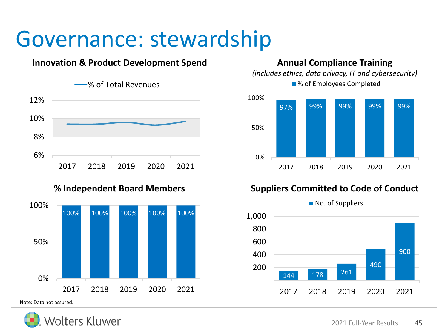#### Governance: stewardship

#### **Innovation & Product Development Spend**



#### **% Independent Board Members**



Note: Data not assured.



#### **Annual Compliance Training**

*(includes ethics, data privacy, IT and cybersecurity)* ■% of Employees Completed



#### **Suppliers Committed to Code of Conduct**